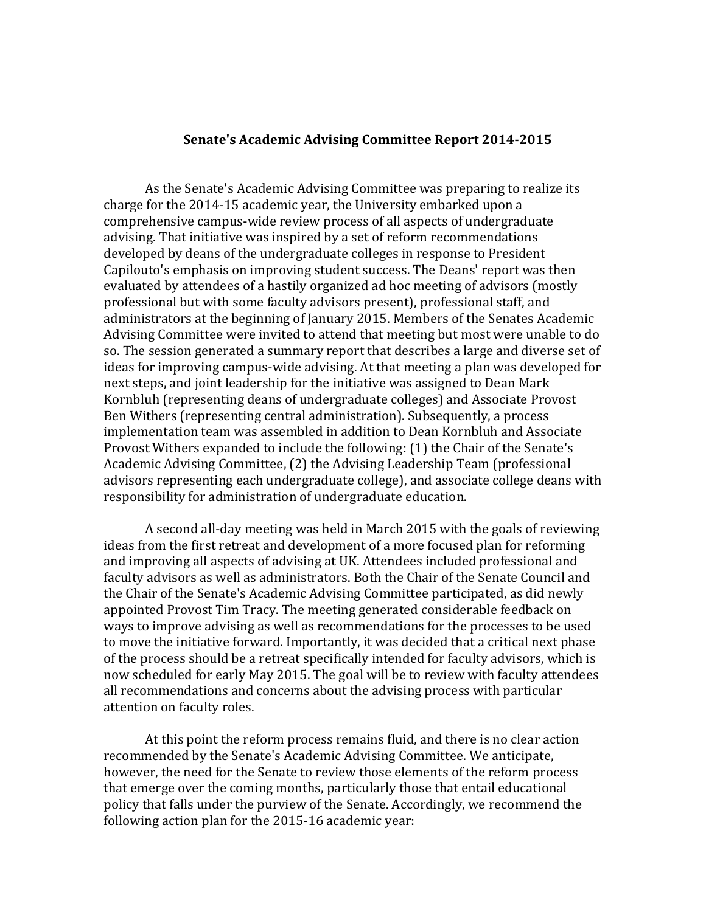## **Senate's Academic Advising Committee Report 2014-2015**

As the Senate's Academic Advising Committee was preparing to realize its charge for the 2014-15 academic year, the University embarked upon a comprehensive campus-wide review process of all aspects of undergraduate advising. That initiative was inspired by a set of reform recommendations developed by deans of the undergraduate colleges in response to President Capilouto's emphasis on improving student success. The Deans' report was then evaluated by attendees of a hastily organized ad hoc meeting of advisors (mostly professional but with some faculty advisors present), professional staff, and administrators at the beginning of January 2015. Members of the Senates Academic Advising Committee were invited to attend that meeting but most were unable to do so. The session generated a summary report that describes a large and diverse set of ideas for improving campus-wide advising. At that meeting a plan was developed for next steps, and joint leadership for the initiative was assigned to Dean Mark Kornbluh (representing deans of undergraduate colleges) and Associate Provost Ben Withers (representing central administration). Subsequently, a process implementation team was assembled in addition to Dean Kornbluh and Associate Provost Withers expanded to include the following: (1) the Chair of the Senate's Academic Advising Committee, (2) the Advising Leadership Team (professional advisors representing each undergraduate college), and associate college deans with responsibility for administration of undergraduate education.

A second all-day meeting was held in March 2015 with the goals of reviewing ideas from the first retreat and development of a more focused plan for reforming and improving all aspects of advising at UK. Attendees included professional and faculty advisors as well as administrators. Both the Chair of the Senate Council and the Chair of the Senate's Academic Advising Committee participated, as did newly appointed Provost Tim Tracy. The meeting generated considerable feedback on ways to improve advising as well as recommendations for the processes to be used to move the initiative forward. Importantly, it was decided that a critical next phase of the process should be a retreat specifically intended for faculty advisors, which is now scheduled for early May 2015. The goal will be to review with faculty attendees all recommendations and concerns about the advising process with particular attention on faculty roles.

At this point the reform process remains fluid, and there is no clear action recommended by the Senate's Academic Advising Committee. We anticipate, however, the need for the Senate to review those elements of the reform process that emerge over the coming months, particularly those that entail educational policy that falls under the purview of the Senate. Accordingly, we recommend the following action plan for the 2015-16 academic year: